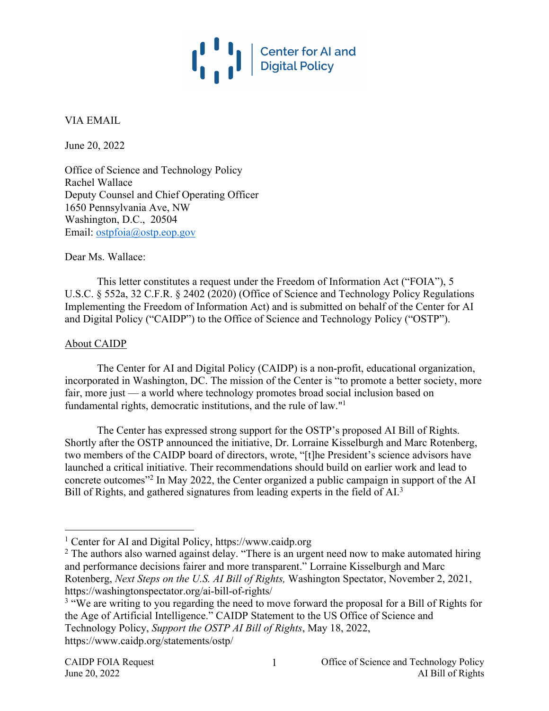

VIA EMAIL

June 20, 2022

Office of Science and Technology Policy Rachel Wallace Deputy Counsel and Chief Operating Officer 1650 Pennsylvania Ave, NW Washington, D.C., 20504 Email: ostpfoia@ostp.eop.gov

Dear Ms. Wallace:

This letter constitutes a request under the Freedom of Information Act ("FOIA"), 5 U.S.C. § 552a, 32 C.F.R. § 2402 (2020) (Office of Science and Technology Policy Regulations Implementing the Freedom of Information Act) and is submitted on behalf of the Center for AI and Digital Policy ("CAIDP") to the Office of Science and Technology Policy ("OSTP").

## About CAIDP

The Center for AI and Digital Policy (CAIDP) is a non-profit, educational organization, incorporated in Washington, DC. The mission of the Center is "to promote a better society, more fair, more just — a world where technology promotes broad social inclusion based on fundamental rights, democratic institutions, and the rule of law."1

The Center has expressed strong support for the OSTP's proposed AI Bill of Rights. Shortly after the OSTP announced the initiative, Dr. Lorraine Kisselburgh and Marc Rotenberg, two members of the CAIDP board of directors, wrote, "[t]he President's science advisors have launched a critical initiative. Their recommendations should build on earlier work and lead to concrete outcomes"2 In May 2022, the Center organized a public campaign in support of the AI Bill of Rights, and gathered signatures from leading experts in the field of AI.<sup>3</sup>

<sup>&</sup>lt;sup>1</sup> Center for AI and Digital Policy, https://www.caidp.org

 $2$  The authors also warned against delay. "There is an urgent need now to make automated hiring and performance decisions fairer and more transparent." Lorraine Kisselburgh and Marc Rotenberg, *Next Steps on the U.S. AI Bill of Rights,* Washington Spectator, November 2, 2021, https://washingtonspectator.org/ai-bill-of-rights/

<sup>&</sup>lt;sup>3</sup> "We are writing to you regarding the need to move forward the proposal for a Bill of Rights for the Age of Artificial Intelligence." CAIDP Statement to the US Office of Science and Technology Policy, *Support the OSTP AI Bill of Rights*, May 18, 2022, https://www.caidp.org/statements/ostp/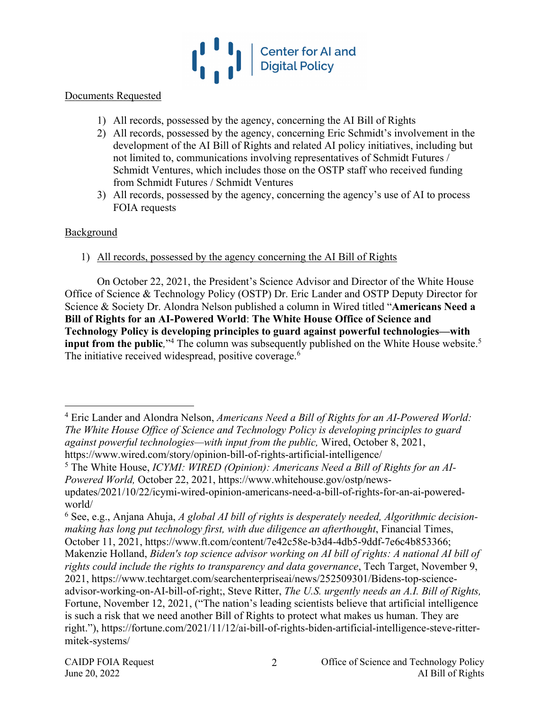

#### Documents Requested

- 1) All records, possessed by the agency, concerning the AI Bill of Rights
- 2) All records, possessed by the agency, concerning Eric Schmidt's involvement in the development of the AI Bill of Rights and related AI policy initiatives, including but not limited to, communications involving representatives of Schmidt Futures / Schmidt Ventures, which includes those on the OSTP staff who received funding from Schmidt Futures / Schmidt Ventures
- 3) All records, possessed by the agency, concerning the agency's use of AI to process FOIA requests

## Background

1) All records, possessed by the agency concerning the AI Bill of Rights

On October 22, 2021, the President's Science Advisor and Director of the White House Office of Science & Technology Policy (OSTP) Dr. Eric Lander and OSTP Deputy Director for Science & Society Dr. Alondra Nelson published a column in Wired titled "**Americans Need a Bill of Rights for an AI-Powered World**: **The White House Office of Science and Technology Policy is developing principles to guard against powerful technologies—with input from the public**,"<sup>4</sup> The column was subsequently published on the White House website.<sup>5</sup> The initiative received widespread, positive coverage.<sup>6</sup>

<sup>4</sup> Eric Lander and Alondra Nelson, *Americans Need a Bill of Rights for an AI-Powered World: The White House Office of Science and Technology Policy is developing principles to guard against powerful technologies—with input from the public,* Wired, October 8, 2021, https://www.wired.com/story/opinion-bill-of-rights-artificial-intelligence/

<sup>5</sup> The White House, *ICYMI: WIRED (Opinion): Americans Need a Bill of Rights for an AI-Powered World,* October 22, 2021, https://www.whitehouse.gov/ostp/newsupdates/2021/10/22/icymi-wired-opinion-americans-need-a-bill-of-rights-for-an-ai-powered-

world/

<sup>6</sup> See, e.g., Anjana Ahuja, *A global AI bill of rights is desperately needed, Algorithmic decisionmaking has long put technology first, with due diligence an afterthought*, Financial Times, October 11, 2021, https://www.ft.com/content/7e42c58e-b3d4-4db5-9ddf-7e6c4b853366; Makenzie Holland, *Biden's top science advisor working on AI bill of rights: A national AI bill of rights could include the rights to transparency and data governance*, Tech Target, November 9, 2021, https://www.techtarget.com/searchenterpriseai/news/252509301/Bidens-top-scienceadvisor-working-on-AI-bill-of-right;, Steve Ritter, *The U.S. urgently needs an A.I. Bill of Rights,* Fortune, November 12, 2021, ("The nation's leading scientists believe that artificial intelligence is such a risk that we need another Bill of Rights to protect what makes us human. They are right."), https://fortune.com/2021/11/12/ai-bill-of-rights-biden-artificial-intelligence-steve-rittermitek-systems/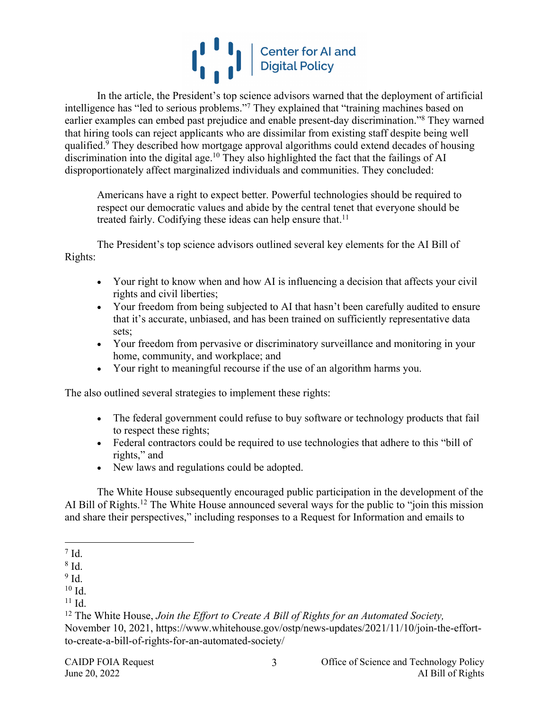

In the article, the President's top science advisors warned that the deployment of artificial intelligence has "led to serious problems."7 They explained that "training machines based on earlier examples can embed past prejudice and enable present-day discrimination."8 They warned that hiring tools can reject applicants who are dissimilar from existing staff despite being well qualified.<sup>9</sup> They described how mortgage approval algorithms could extend decades of housing discrimination into the digital age.<sup>10</sup> They also highlighted the fact that the failings of AI disproportionately affect marginalized individuals and communities. They concluded:

Americans have a right to expect better. Powerful technologies should be required to respect our democratic values and abide by the central tenet that everyone should be treated fairly. Codifying these ideas can help ensure that.<sup>11</sup>

The President's top science advisors outlined several key elements for the AI Bill of Rights:

- Your right to know when and how AI is influencing a decision that affects your civil rights and civil liberties;
- Your freedom from being subjected to AI that hasn't been carefully audited to ensure that it's accurate, unbiased, and has been trained on sufficiently representative data sets;
- Your freedom from pervasive or discriminatory surveillance and monitoring in your home, community, and workplace; and
- Your right to meaningful recourse if the use of an algorithm harms you.

The also outlined several strategies to implement these rights:

- The federal government could refuse to buy software or technology products that fail to respect these rights;
- Federal contractors could be required to use technologies that adhere to this "bill of rights," and
- New laws and regulations could be adopted.

The White House subsequently encouraged public participation in the development of the AI Bill of Rights.<sup>12</sup> The White House announced several ways for the public to "join this mission and share their perspectives," including responses to a Request for Information and emails to

 $^7$  Id.

<sup>8</sup> Id.

<sup>9</sup> Id.

 $10$  Id.

 $11$  Id.

<sup>12</sup> The White House, *Join the Effort to Create A Bill of Rights for an Automated Society,* November 10, 2021, https://www.whitehouse.gov/ostp/news-updates/2021/11/10/join-the-effortto-create-a-bill-of-rights-for-an-automated-society/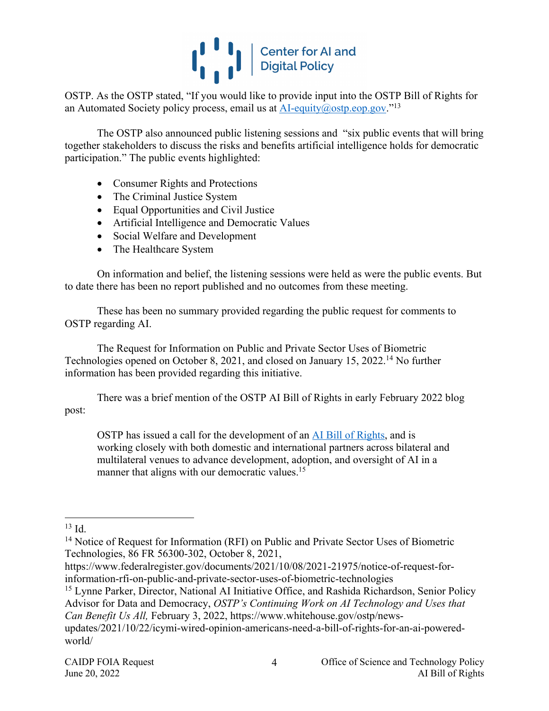

OSTP. As the OSTP stated, "If you would like to provide input into the OSTP Bill of Rights for an Automated Society policy process, email us at  $AI$ -equity $@$ ostp.eop.gov.<sup>"13</sup>

The OSTP also announced public listening sessions and "six public events that will bring together stakeholders to discuss the risks and benefits artificial intelligence holds for democratic participation." The public events highlighted:

- Consumer Rights and Protections
- The Criminal Justice System
- Equal Opportunities and Civil Justice
- Artificial Intelligence and Democratic Values
- Social Welfare and Development
- The Healthcare System

On information and belief, the listening sessions were held as were the public events. But to date there has been no report published and no outcomes from these meeting.

These has been no summary provided regarding the public request for comments to OSTP regarding AI.

The Request for Information on Public and Private Sector Uses of Biometric Technologies opened on October 8, 2021, and closed on January 15, 2022.14 No further information has been provided regarding this initiative.

There was a brief mention of the OSTP AI Bill of Rights in early February 2022 blog post:

OSTP has issued a call for the development of an AI Bill of Rights, and is working closely with both domestic and international partners across bilateral and multilateral venues to advance development, adoption, and oversight of AI in a manner that aligns with our democratic values.<sup>15</sup>

 $13$  Id.

<sup>&</sup>lt;sup>14</sup> Notice of Request for Information (RFI) on Public and Private Sector Uses of Biometric Technologies, 86 FR 56300-302, October 8, 2021,

https://www.federalregister.gov/documents/2021/10/08/2021-21975/notice-of-request-forinformation-rfi-on-public-and-private-sector-uses-of-biometric-technologies

<sup>&</sup>lt;sup>15</sup> Lynne Parker, Director, National AI Initiative Office, and Rashida Richardson, Senior Policy Advisor for Data and Democracy, *OSTP's Continuing Work on AI Technology and Uses that Can Benefit Us All,* February 3, 2022, https://www.whitehouse.gov/ostp/news-

updates/2021/10/22/icymi-wired-opinion-americans-need-a-bill-of-rights-for-an-ai-poweredworld/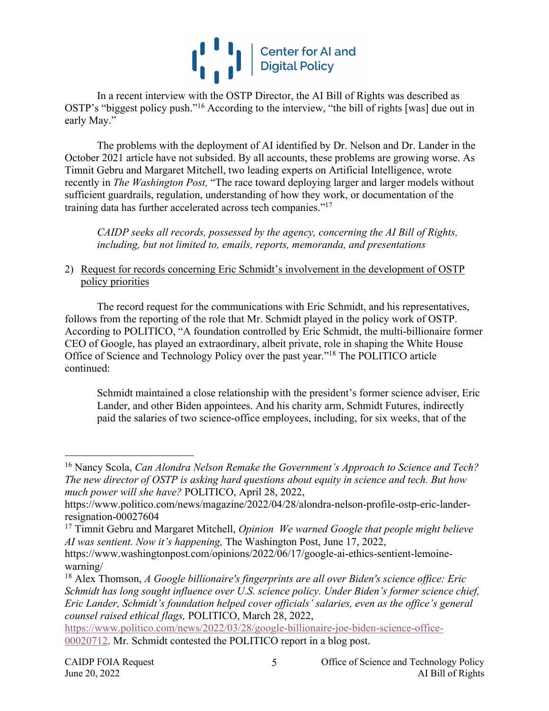

In a recent interview with the OSTP Director, the AI Bill of Rights was described as OSTP's "biggest policy push."16 According to the interview, "the bill of rights [was] due out in early May."

The problems with the deployment of AI identified by Dr. Nelson and Dr. Lander in the October 2021 article have not subsided. By all accounts, these problems are growing worse. As Timnit Gebru and Margaret Mitchell, two leading experts on Artificial Intelligence, wrote recently in *The Washington Post,* "The race toward deploying larger and larger models without sufficient guardrails, regulation, understanding of how they work, or documentation of the training data has further accelerated across tech companies."17

*CAIDP seeks all records, possessed by the agency, concerning the AI Bill of Rights, including, but not limited to, emails, reports, memoranda, and presentations*

# 2) Request for records concerning Eric Schmidt's involvement in the development of OSTP policy priorities

The record request for the communications with Eric Schmidt, and his representatives, follows from the reporting of the role that Mr. Schmidt played in the policy work of OSTP. According to POLITICO, "A foundation controlled by Eric Schmidt, the multi-billionaire former CEO of Google, has played an extraordinary, albeit private, role in shaping the White House Office of Science and Technology Policy over the past year."18 The POLITICO article continued:

Schmidt maintained a close relationship with the president's former science adviser, Eric Lander, and other Biden appointees. And his charity arm, Schmidt Futures, indirectly paid the salaries of two science-office employees, including, for six weeks, that of the

https://www.politico.com/news/2022/03/28/google-billionaire-joe-biden-science-office-00020712. Mr. Schmidt contested the POLITICO report in a blog post.

<sup>16</sup> Nancy Scola, *Can Alondra Nelson Remake the Government's Approach to Science and Tech? The new director of OSTP is asking hard questions about equity in science and tech. But how much power will she have?* POLITICO, April 28, 2022,

https://www.politico.com/news/magazine/2022/04/28/alondra-nelson-profile-ostp-eric-landerresignation-00027604

<sup>17</sup> Timnit Gebru and Margaret Mitchell, *Opinion We warned Google that people might believe AI was sentient. Now it's happening,* The Washington Post, June 17, 2022,

https://www.washingtonpost.com/opinions/2022/06/17/google-ai-ethics-sentient-lemoinewarning/

<sup>18</sup> Alex Thomson, *A Google billionaire's fingerprints are all over Biden's science office: Eric Schmidt has long sought influence over U.S. science policy. Under Biden's former science chief, Eric Lander, Schmidt's foundation helped cover officials' salaries, even as the office's general counsel raised ethical flags,* POLITICO, March 28, 2022,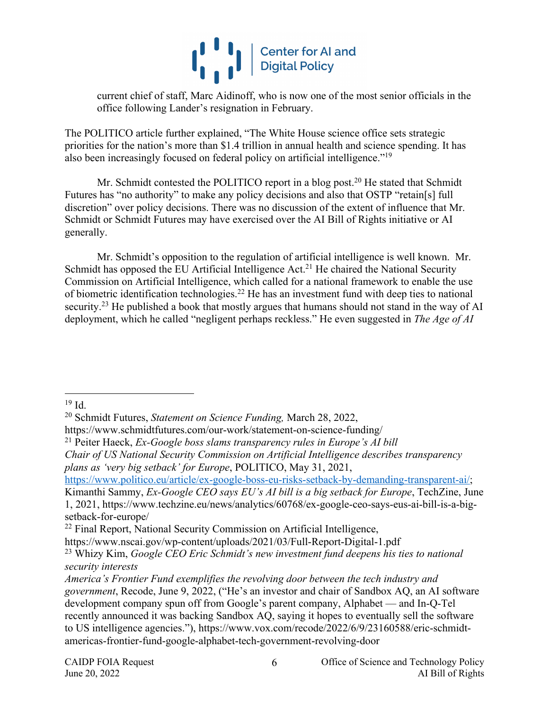

current chief of staff, Marc Aidinoff, who is now one of the most senior officials in the office following Lander's resignation in February.

The POLITICO article further explained, "The White House science office sets strategic priorities for the nation's more than \$1.4 trillion in annual health and science spending. It has also been increasingly focused on federal policy on artificial intelligence."19

Mr. Schmidt contested the POLITICO report in a blog post.<sup>20</sup> He stated that Schmidt Futures has "no authority" to make any policy decisions and also that OSTP "retain[s] full discretion" over policy decisions. There was no discussion of the extent of influence that Mr. Schmidt or Schmidt Futures may have exercised over the AI Bill of Rights initiative or AI generally.

Mr. Schmidt's opposition to the regulation of artificial intelligence is well known. Mr. Schmidt has opposed the EU Artificial Intelligence Act.<sup>21</sup> He chaired the National Security Commission on Artificial Intelligence, which called for a national framework to enable the use of biometric identification technologies.<sup>22</sup> He has an investment fund with deep ties to national security.<sup>23</sup> He published a book that mostly argues that humans should not stand in the way of AI deployment, which he called "negligent perhaps reckless." He even suggested in *The Age of AI*

<sup>21</sup> Peiter Haeck, *Ex-Google boss slams transparency rules in Europe's AI bill*

https://www.politico.eu/article/ex-google-boss-eu-risks-setback-by-demanding-transparent-ai/;

 $19$  Id.

<sup>20</sup> Schmidt Futures, *Statement on Science Funding,* March 28, 2022,

https://www.schmidtfutures.com/our-work/statement-on-science-funding/

*Chair of US National Security Commission on Artificial Intelligence describes transparency plans as 'very big setback' for Europe*, POLITICO, May 31, 2021,

Kimanthi Sammy, *Ex-Google CEO says EU's AI bill is a big setback for Europe*, TechZine, June 1, 2021, https://www.techzine.eu/news/analytics/60768/ex-google-ceo-says-eus-ai-bill-is-a-bigsetback-for-europe/

<sup>&</sup>lt;sup>22</sup> Final Report, National Security Commission on Artificial Intelligence,

https://www.nscai.gov/wp-content/uploads/2021/03/Full-Report-Digital-1.pdf

<sup>23</sup> Whizy Kim, *Google CEO Eric Schmidt's new investment fund deepens his ties to national security interests*

*America's Frontier Fund exemplifies the revolving door between the tech industry and government*, Recode, June 9, 2022, ("He's an investor and chair of Sandbox AQ, an AI software development company spun off from Google's parent company, Alphabet — and In-Q-Tel recently announced it was backing Sandbox AQ, saying it hopes to eventually sell the software to US intelligence agencies."), https://www.vox.com/recode/2022/6/9/23160588/eric-schmidtamericas-frontier-fund-google-alphabet-tech-government-revolving-door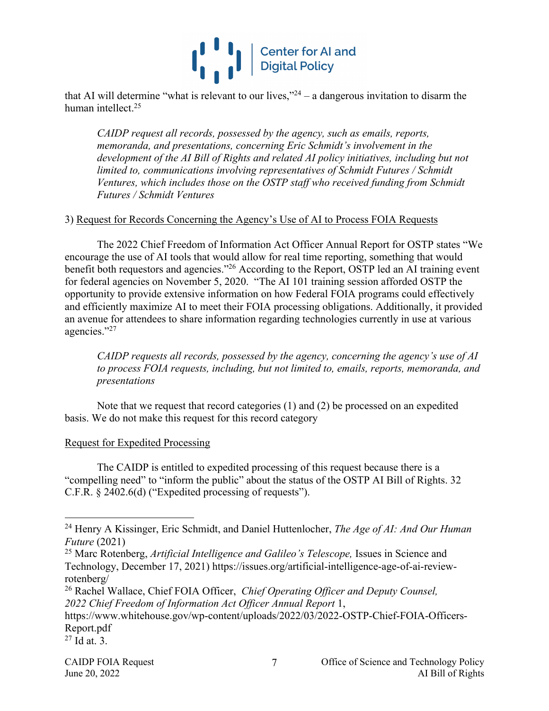

that AI will determine "what is relevant to our lives," $24 - a$  dangerous invitation to disarm the human intellect.25

*CAIDP request all records, possessed by the agency, such as emails, reports, memoranda, and presentations, concerning Eric Schmidt's involvement in the development of the AI Bill of Rights and related AI policy initiatives, including but not limited to, communications involving representatives of Schmidt Futures / Schmidt Ventures, which includes those on the OSTP staff who received funding from Schmidt Futures / Schmidt Ventures*

## 3) Request for Records Concerning the Agency's Use of AI to Process FOIA Requests

The 2022 Chief Freedom of Information Act Officer Annual Report for OSTP states "We encourage the use of AI tools that would allow for real time reporting, something that would benefit both requestors and agencies."<sup>26</sup> According to the Report, OSTP led an AI training event for federal agencies on November 5, 2020. "The AI 101 training session afforded OSTP the opportunity to provide extensive information on how Federal FOIA programs could effectively and efficiently maximize AI to meet their FOIA processing obligations. Additionally, it provided an avenue for attendees to share information regarding technologies currently in use at various agencies."27

*CAIDP requests all records, possessed by the agency, concerning the agency's use of AI to process FOIA requests, including, but not limited to, emails, reports, memoranda, and presentations*

Note that we request that record categories (1) and (2) be processed on an expedited basis. We do not make this request for this record category

#### Request for Expedited Processing

The CAIDP is entitled to expedited processing of this request because there is a "compelling need" to "inform the public" about the status of the OSTP AI Bill of Rights. 32 C.F.R. § 2402.6(d) ("Expedited processing of requests").

<sup>24</sup> Henry A Kissinger, Eric Schmidt, and Daniel Huttenlocher, *The Age of AI: And Our Human Future* (2021)

<sup>&</sup>lt;sup>25</sup> Marc Rotenberg, *Artificial Intelligence and Galileo's Telescope*, Issues in Science and Technology, December 17, 2021) https://issues.org/artificial-intelligence-age-of-ai-reviewrotenberg/

<sup>26</sup> Rachel Wallace, Chief FOIA Officer, *Chief Operating Officer and Deputy Counsel, 2022 Chief Freedom of Information Act Officer Annual Report* 1,

https://www.whitehouse.gov/wp-content/uploads/2022/03/2022-OSTP-Chief-FOIA-Officers-Report.pdf

 $27$  Id at. 3.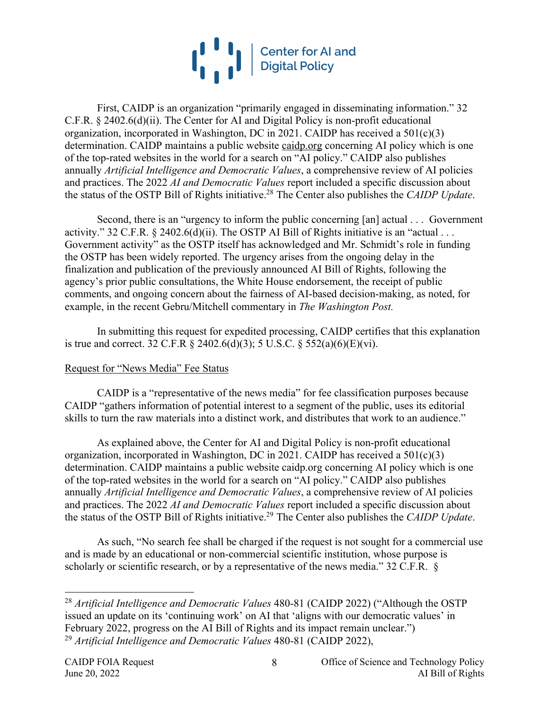

First, CAIDP is an organization "primarily engaged in disseminating information." 32 C.F.R. § 2402.6(d)(ii). The Center for AI and Digital Policy is non-profit educational organization, incorporated in Washington, DC in 2021. CAIDP has received a 501(c)(3) determination. CAIDP maintains a public website caidp.org concerning AI policy which is one of the top-rated websites in the world for a search on "AI policy." CAIDP also publishes annually *Artificial Intelligence and Democratic Values*, a comprehensive review of AI policies and practices. The 2022 *AI and Democratic Values* report included a specific discussion about the status of the OSTP Bill of Rights initiative.28 The Center also publishes the *CAIDP Update*.

Second, there is an "urgency to inform the public concerning [an] actual . . . Government activity." 32 C.F.R. § 2402.6(d)(ii). The OSTP AI Bill of Rights initiative is an "actual . . . Government activity" as the OSTP itself has acknowledged and Mr. Schmidt's role in funding the OSTP has been widely reported. The urgency arises from the ongoing delay in the finalization and publication of the previously announced AI Bill of Rights, following the agency's prior public consultations, the White House endorsement, the receipt of public comments, and ongoing concern about the fairness of AI-based decision-making, as noted, for example, in the recent Gebru/Mitchell commentary in *The Washington Post.*

In submitting this request for expedited processing, CAIDP certifies that this explanation is true and correct. 32 C.F.R § 2402.6(d)(3); 5 U.S.C. § 552(a)(6)(E)(vi).

## Request for "News Media" Fee Status

CAIDP is a "representative of the news media" for fee classification purposes because CAIDP "gathers information of potential interest to a segment of the public, uses its editorial skills to turn the raw materials into a distinct work, and distributes that work to an audience."

As explained above, the Center for AI and Digital Policy is non-profit educational organization, incorporated in Washington, DC in 2021. CAIDP has received a 501(c)(3) determination. CAIDP maintains a public website caidp.org concerning AI policy which is one of the top-rated websites in the world for a search on "AI policy." CAIDP also publishes annually *Artificial Intelligence and Democratic Values*, a comprehensive review of AI policies and practices. The 2022 *AI and Democratic Values* report included a specific discussion about the status of the OSTP Bill of Rights initiative.29 The Center also publishes the *CAIDP Update*.

As such, "No search fee shall be charged if the request is not sought for a commercial use and is made by an educational or non-commercial scientific institution, whose purpose is scholarly or scientific research, or by a representative of the news media." 32 C.F.R. §

<sup>28</sup> *Artificial Intelligence and Democratic Values* 480-81 (CAIDP 2022) ("Although the OSTP issued an update on its 'continuing work' on AI that 'aligns with our democratic values' in February 2022, progress on the AI Bill of Rights and its impact remain unclear.") <sup>29</sup> *Artificial Intelligence and Democratic Values* 480-81 (CAIDP 2022),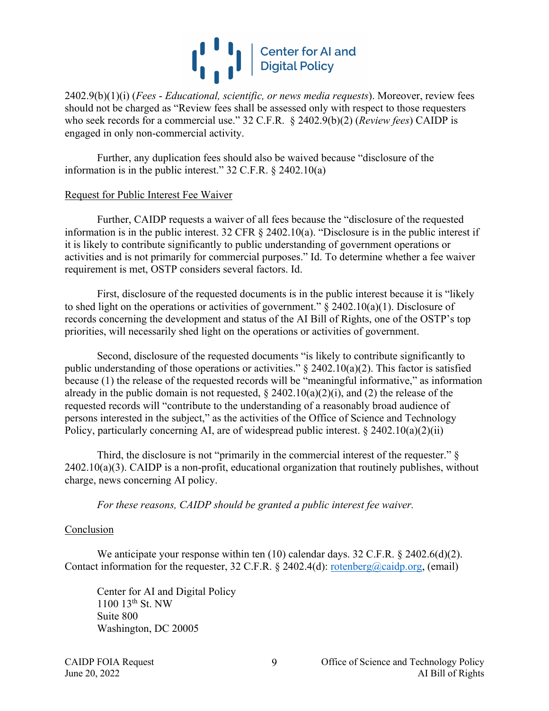

2402.9(b)(1)(i) (*Fees* - *Educational, scientific, or news media requests*). Moreover, review fees should not be charged as "Review fees shall be assessed only with respect to those requesters who seek records for a commercial use." 32 C.F.R. § 2402.9(b)(2) (*Review fees*) CAIDP is engaged in only non-commercial activity.

Further, any duplication fees should also be waived because "disclosure of the information is in the public interest." 32 C.F.R. § 2402.10(a)

#### Request for Public Interest Fee Waiver

Further, CAIDP requests a waiver of all fees because the "disclosure of the requested information is in the public interest. 32 CFR § 2402.10(a). "Disclosure is in the public interest if it is likely to contribute significantly to public understanding of government operations or activities and is not primarily for commercial purposes." Id. To determine whether a fee waiver requirement is met, OSTP considers several factors. Id.

First, disclosure of the requested documents is in the public interest because it is "likely to shed light on the operations or activities of government."  $\S$  2402.10(a)(1). Disclosure of records concerning the development and status of the AI Bill of Rights, one of the OSTP's top priorities, will necessarily shed light on the operations or activities of government.

Second, disclosure of the requested documents "is likely to contribute significantly to public understanding of those operations or activities."  $\S$  2402.10(a)(2). This factor is satisfied because (1) the release of the requested records will be "meaningful informative," as information already in the public domain is not requested,  $\S 2402.10(a)(2)(i)$ , and (2) the release of the requested records will "contribute to the understanding of a reasonably broad audience of persons interested in the subject," as the activities of the Office of Science and Technology Policy, particularly concerning AI, are of widespread public interest. § 2402.10(a)(2)(ii)

Third, the disclosure is not "primarily in the commercial interest of the requester." §  $2402.10(a)(3)$ . CAIDP is a non-profit, educational organization that routinely publishes, without charge, news concerning AI policy.

*For these reasons, CAIDP should be granted a public interest fee waiver.*

#### Conclusion

We anticipate your response within ten  $(10)$  calendar days. 32 C.F.R. § 2402.6(d)(2). Contact information for the requester, 32 C.F.R. § 2402.4(d):  $\frac{\text{rotenberg}(\partial \text{caidp.org}}{\text{caidp.org}}$ , (email)

Center for AI and Digital Policy 1100 13th St. NW Suite 800 Washington, DC 20005